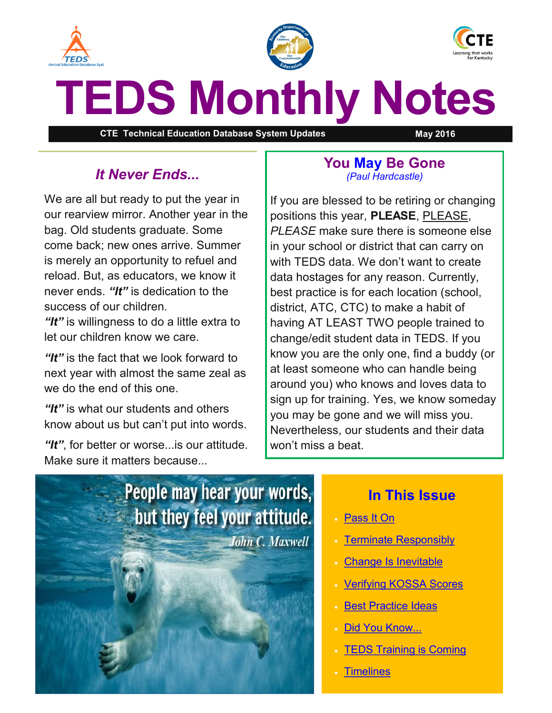<span id="page-0-0"></span>





# **TEDS Monthly Notes**

**CTE Technical Education Database System Updates May 2016**

# *It Never Ends...*

We are all but ready to put the year in our rearview mirror. Another year in the bag. Old students graduate. Some come back; new ones arrive. Summer is merely an opportunity to refuel and reload. But, as educators, we know it never ends. *"It"* is dedication to the success of our children.

*"It"* is willingness to do a little extra to let our children know we care.

*"It"* is the fact that we look forward to next year with almost the same zeal as we do the end of this one.

*"It"* is what our students and others know about us but can't put into words.

*"It"*, for better or worse...is our attitude. Make sure it matters because...

### **You May Be Gone** *(Paul Hardcastle)*

If you are blessed to be retiring or changing positions this year, **PLEASE**, PLEASE, *PLEASE* make sure there is someone else in your school or district that can carry on with TEDS data. We don't want to create data hostages for any reason. Currently, best practice is for each location (school, district, ATC, CTC) to make a habit of having AT LEAST TWO people trained to change/edit student data in TEDS. If you know you are the only one, find a buddy (or at least someone who can handle being around you) who knows and loves data to sign up for training. Yes, we know someday you may be gone and we will miss you. Nevertheless, our students and their data won't miss a beat.



## **In This Issue**

- [Pass It On](#page-0-0)
- [Terminate Responsibly](#page-1-0)
- [Change Is Inevitable](#page-1-0)
- [Verifying KOSSA Scores](#page-1-0)
- **[Best Practice Ideas](#page-2-0)**
- [Did You Know...](#page-2-0)
- **[TEDS Training is Coming](#page-3-0)**
- **[Timelines](#page-3-0)**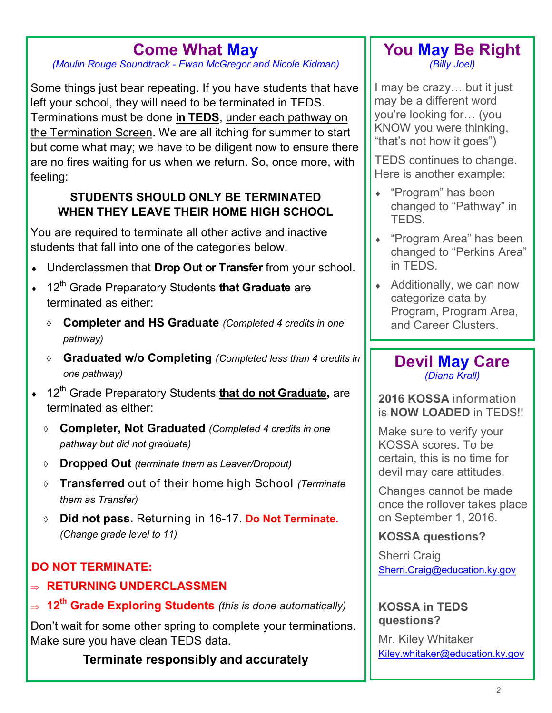# **Come What May**

<span id="page-1-0"></span>*(Moulin Rouge Soundtrack - Ewan McGregor and Nicole Kidman)*

Some things just bear repeating. If you have students that have left your school, they will need to be terminated in TEDS. Terminations must be done **in TEDS**, under each pathway on the Termination Screen. We are all itching for summer to start but come what may; we have to be diligent now to ensure there are no fires waiting for us when we return. So, once more, with feeling:

## **STUDENTS SHOULD ONLY BE TERMINATED WHEN THEY LEAVE THEIR HOME HIGH SCHOOL**

You are required to terminate all other active and inactive students that fall into one of the categories below.

- Underclassmen that **Drop Out or Transfer** from your school.
- <sup>+</sup> 12<sup>th</sup> Grade Preparatory Students **that Graduate** are terminated as either:
	- **Completer and HS Graduate** *(Completed 4 credits in one pathway)*
	- **Graduated w/o Completing** *(Completed less than 4 credits in one pathway)*
- <sup>+</sup> 12<sup>th</sup> Grade Preparatory Students **that do not Graduate**, are terminated as either:
	- **Completer, Not Graduated** *(Completed 4 credits in one pathway but did not graduate)*
	- **Dropped Out** *(terminate them as Leaver/Dropout)*
	- **Transferred** out of their home high School *(Terminate them as Transfer)*
	- **Did not pass.** Returning in 16-17. **Do Not Terminate.** *(Change grade level to 11)*

# **DO NOT TERMINATE:**

- **RETURNING UNDERCLASSMEN**
- **12th Grade Exploring Students** *(this is done automatically)*

Don't wait for some other spring to complete your terminations. Make sure you have clean TEDS data.

**Terminate responsibly and accurately**

## **You May Be Right** *(Billy Joel)*

I may be crazy… but it just may be a different word you're looking for… (you KNOW you were thinking, "that's not how it goes")

TEDS continues to change. Here is another example:

- "Program" has been changed to "Pathway" in TEDS.
- "Program Area" has been changed to "Perkins Area" in TEDS.
- ◆ Additionally, we can now categorize data by Program, Program Area, and Career Clusters.

## **Devil May Care** *(Diana Krall)*

**2016 KOSSA** information is **NOW LOADED** in TEDS!!

Make sure to verify your KOSSA scores. To be certain, this is no time for devil may care attitudes.

Changes cannot be made once the rollover takes place on September 1, 2016.

## **KOSSA questions?**

Sherri Craig [Sherri.Craig@education.ky.gov](mailto:Sherri.Craig@education.ky.gov) 

**KOSSA in TEDS questions?**

Mr. Kiley Whitaker [Kiley.whitaker@education.ky.gov](mailto:kiley.whitaker@education.ky.gov)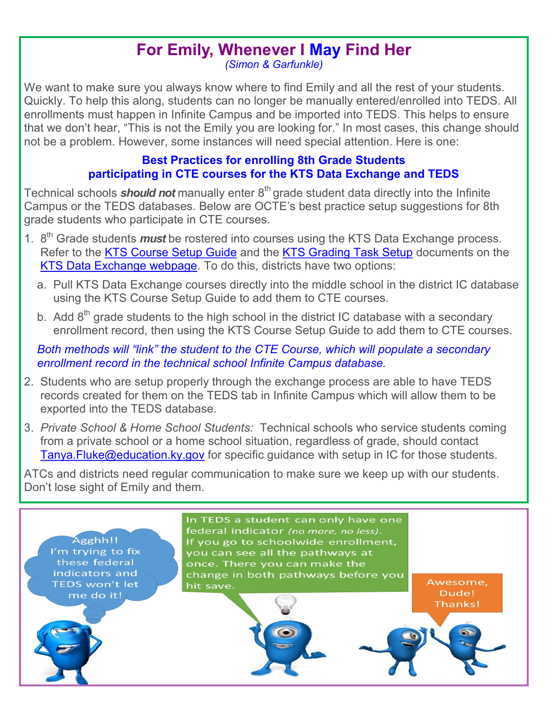## **For Emily, Whenever I May Find Her**  *(Simon & Garfunkle)*

<span id="page-2-0"></span>We want to make sure you always know where to find Emily and all the rest of your students. Quickly. To help this along, students can no longer be manually entered/enrolled into TEDS. All enrollments must happen in Infinite Campus and be imported into TEDS. This helps to ensure that we don't hear, "This is not the Emily you are looking for." In most cases, this change should not be a problem. However, some instances will need special attention. Here is one:

## **Best Practices for enrolling 8th Grade Students participating in CTE courses for the KTS Data Exchange and TEDS**

Technical schools **should not** manually enter 8<sup>th</sup> grade student data directly into the Infinite Campus or the TEDS databases. Below are OCTE's best practice setup suggestions for 8th grade students who participate in CTE courses.

- 1. 8<sup>th</sup> Grade students *must* be rostered into courses using the KTS Data Exchange process. Refer to the [KTS Course Setup Guide](http://education.ky.gov/districts/tech/sis/Documents/KSIS-KTS_CourseSetupforHighSchools_DRAFT.pdf) and the [KTS Grading Task Setup](http://education.ky.gov/districts/tech/sis/Documents/KSIS-KTSGradingTaskSetup_Draft.pdf) documents on the KTS Data Exchange webpage</u>. To do this, districts have two options:
	- a. Pull KTS Data Exchange courses directly into the middle school in the district IC database using the KTS Course Setup Guide to add them to CTE courses.
	- b. Add  $8<sup>th</sup>$  grade students to the high school in the district IC database with a secondary enrollment record, then using the KTS Course Setup Guide to add them to CTE courses.

*Both methods will "link" the student to the CTE Course, which will populate a secondary enrollment record in the technical school Infinite Campus database.*

- 2. Students who are setup properly through the exchange process are able to have TEDS records created for them on the TEDS tab in Infinite Campus which will allow them to be exported into the TEDS database.
- 3. *Private School & Home School Students:* Technical schools who service students coming from a private school or a home school situation, regardless of grade, should contact Tanya. Fluke@education.ky.gov for specific guidance with setup in IC for those students.

ATCs and districts need regular communication to make sure we keep up with our students. Don't lose sight of Emily and them.